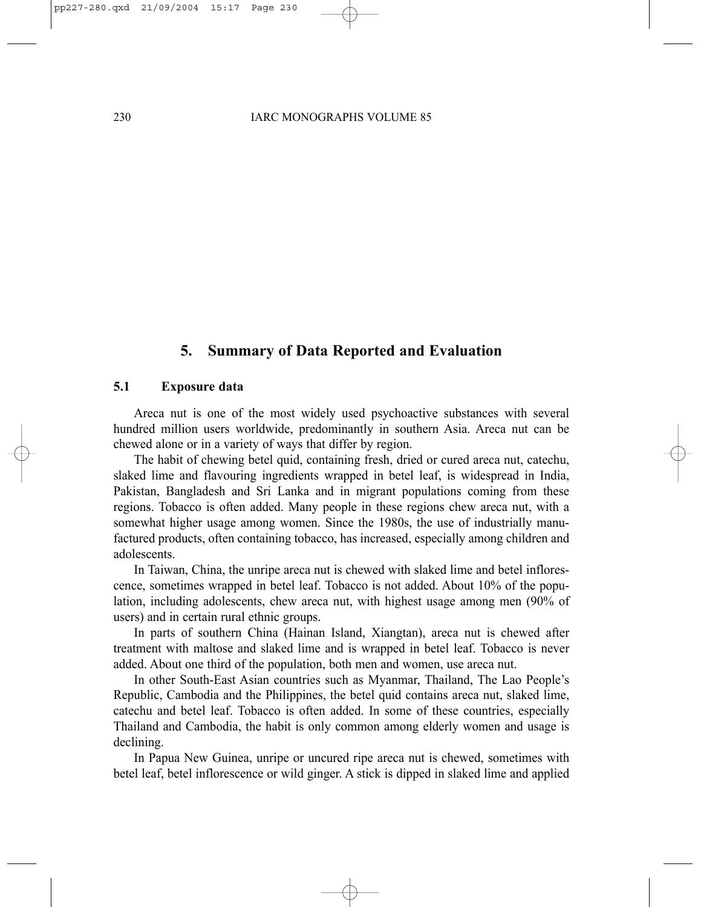# **5. Summary of Data Reported and Evaluation**

#### **5.1 Exposure data**

Areca nut is one of the most widely used psychoactive substances with several hundred million users worldwide, predominantly in southern Asia. Areca nut can be chewed alone or in a variety of ways that differ by region.

The habit of chewing betel quid, containing fresh, dried or cured areca nut, catechu, slaked lime and flavouring ingredients wrapped in betel leaf, is widespread in India, Pakistan, Bangladesh and Sri Lanka and in migrant populations coming from these regions. Tobacco is often added. Many people in these regions chew areca nut, with a somewhat higher usage among women. Since the 1980s, the use of industrially manufactured products, often containing tobacco, has increased, especially among children and adolescents.

In Taiwan, China, the unripe areca nut is chewed with slaked lime and betel inflorescence, sometimes wrapped in betel leaf. Tobacco is not added. About 10% of the population, including adolescents, chew areca nut, with highest usage among men (90% of users) and in certain rural ethnic groups.

In parts of southern China (Hainan Island, Xiangtan), areca nut is chewed after treatment with maltose and slaked lime and is wrapped in betel leaf. Tobacco is never added. About one third of the population, both men and women, use areca nut.

In other South-East Asian countries such as Myanmar, Thailand, The Lao People's Republic, Cambodia and the Philippines, the betel quid contains areca nut, slaked lime, catechu and betel leaf. Tobacco is often added. In some of these countries, especially Thailand and Cambodia, the habit is only common among elderly women and usage is declining.

In Papua New Guinea, unripe or uncured ripe areca nut is chewed, sometimes with betel leaf, betel inflorescence or wild ginger. A stick is dipped in slaked lime and applied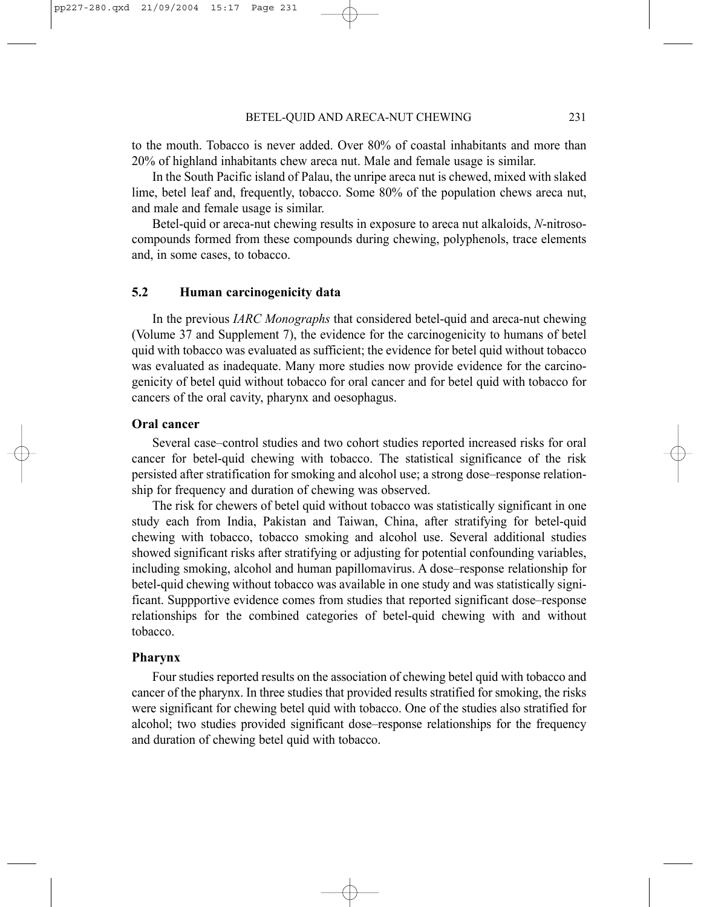to the mouth. Tobacco is never added. Over 80% of coastal inhabitants and more than 20% of highland inhabitants chew areca nut. Male and female usage is similar.

In the South Pacific island of Palau, the unripe areca nut is chewed, mixed with slaked lime, betel leaf and, frequently, tobacco. Some 80% of the population chews areca nut, and male and female usage is similar.

Betel-quid or areca-nut chewing results in exposure to areca nut alkaloids, *N*-nitrosocompounds formed from these compounds during chewing, polyphenols, trace elements and, in some cases, to tobacco.

#### **5.2 Human carcinogenicity data**

In the previous *IARC Monographs* that considered betel-quid and areca-nut chewing (Volume 37 and Supplement 7), the evidence for the carcinogenicity to humans of betel quid with tobacco was evaluated as sufficient; the evidence for betel quid without tobacco was evaluated as inadequate. Many more studies now provide evidence for the carcinogenicity of betel quid without tobacco for oral cancer and for betel quid with tobacco for cancers of the oral cavity, pharynx and oesophagus.

#### **Oral cancer**

Several case–control studies and two cohort studies reported increased risks for oral cancer for betel-quid chewing with tobacco. The statistical significance of the risk persisted after stratification for smoking and alcohol use; a strong dose–response relationship for frequency and duration of chewing was observed.

The risk for chewers of betel quid without tobacco was statistically significant in one study each from India, Pakistan and Taiwan, China, after stratifying for betel-quid chewing with tobacco, tobacco smoking and alcohol use. Several additional studies showed significant risks after stratifying or adjusting for potential confounding variables, including smoking, alcohol and human papillomavirus. A dose–response relationship for betel-quid chewing without tobacco was available in one study and was statistically significant. Suppportive evidence comes from studies that reported significant dose–response relationships for the combined categories of betel-quid chewing with and without tobacco.

#### **Pharynx**

Four studies reported results on the association of chewing betel quid with tobacco and cancer of the pharynx. In three studies that provided results stratified for smoking, the risks were significant for chewing betel quid with tobacco. One of the studies also stratified for alcohol; two studies provided significant dose–response relationships for the frequency and duration of chewing betel quid with tobacco.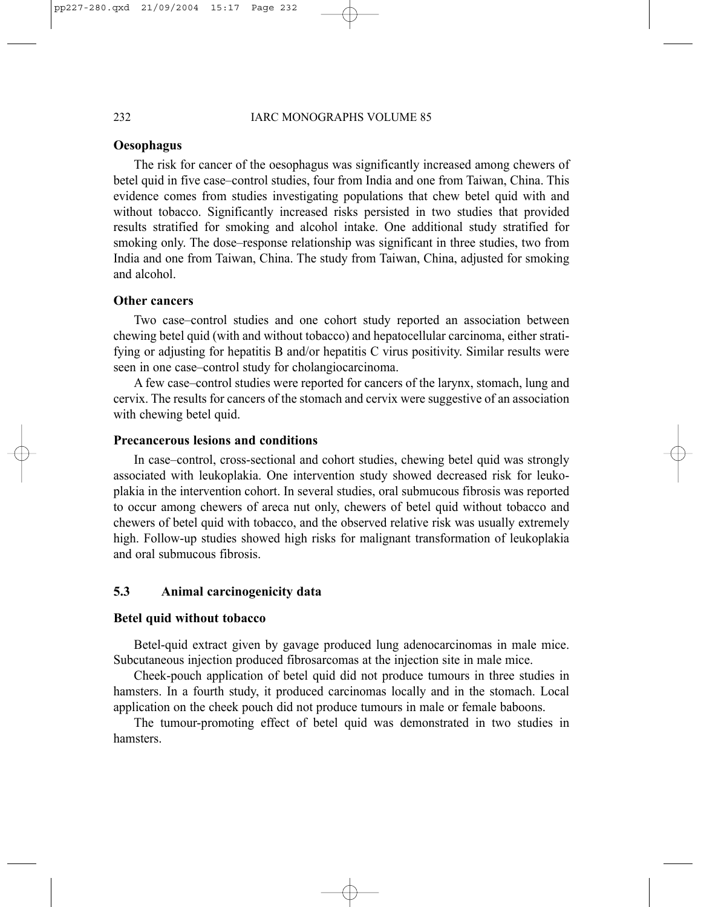#### **Oesophagus**

The risk for cancer of the oesophagus was significantly increased among chewers of betel quid in five case–control studies, four from India and one from Taiwan, China. This evidence comes from studies investigating populations that chew betel quid with and without tobacco. Significantly increased risks persisted in two studies that provided results stratified for smoking and alcohol intake. One additional study stratified for smoking only. The dose–response relationship was significant in three studies, two from India and one from Taiwan, China. The study from Taiwan, China, adjusted for smoking and alcohol.

#### **Other cancers**

Two case–control studies and one cohort study reported an association between chewing betel quid (with and without tobacco) and hepatocellular carcinoma, either stratifying or adjusting for hepatitis B and/or hepatitis C virus positivity. Similar results were seen in one case–control study for cholangiocarcinoma.

A few case–control studies were reported for cancers of the larynx, stomach, lung and cervix. The results for cancers of the stomach and cervix were suggestive of an association with chewing betel quid.

## **Precancerous lesions and conditions**

In case–control, cross-sectional and cohort studies, chewing betel quid was strongly associated with leukoplakia. One intervention study showed decreased risk for leukoplakia in the intervention cohort. In several studies, oral submucous fibrosis was reported to occur among chewers of areca nut only, chewers of betel quid without tobacco and chewers of betel quid with tobacco, and the observed relative risk was usually extremely high. Follow-up studies showed high risks for malignant transformation of leukoplakia and oral submucous fibrosis.

## **5.3 Animal carcinogenicity data**

#### **Betel quid without tobacco**

Betel-quid extract given by gavage produced lung adenocarcinomas in male mice. Subcutaneous injection produced fibrosarcomas at the injection site in male mice.

Cheek-pouch application of betel quid did not produce tumours in three studies in hamsters. In a fourth study, it produced carcinomas locally and in the stomach. Local application on the cheek pouch did not produce tumours in male or female baboons.

The tumour-promoting effect of betel quid was demonstrated in two studies in hamsters.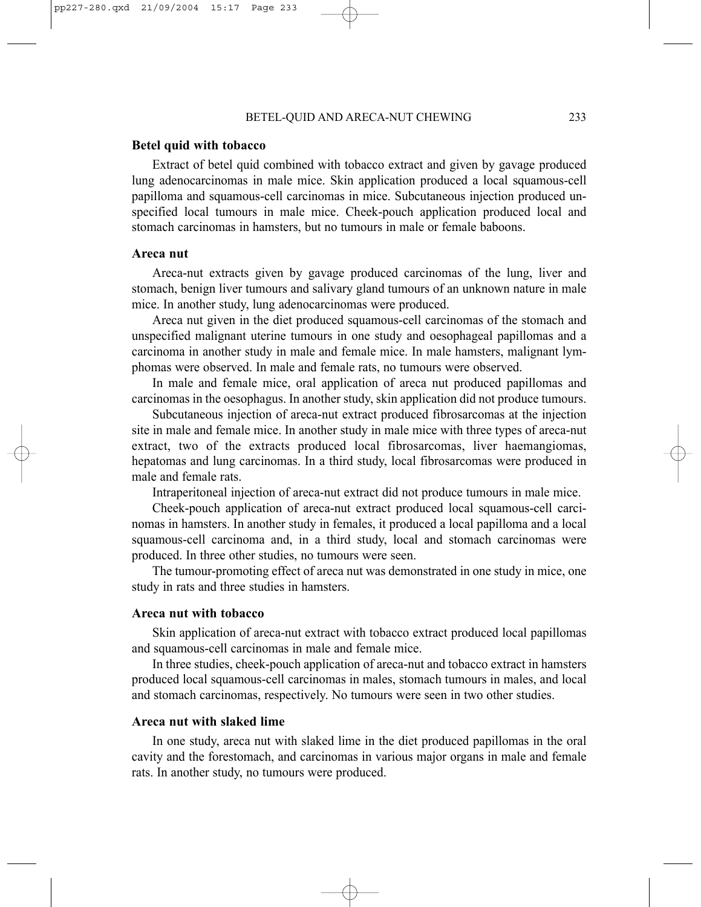#### BETEL-QUID AND ARECA-NUT CHEWING 233

#### **Betel quid with tobacco**

Extract of betel quid combined with tobacco extract and given by gavage produced lung adenocarcinomas in male mice. Skin application produced a local squamous-cell papilloma and squamous-cell carcinomas in mice. Subcutaneous injection produced unspecified local tumours in male mice. Cheek-pouch application produced local and stomach carcinomas in hamsters, but no tumours in male or female baboons.

#### **Areca nut**

Areca-nut extracts given by gavage produced carcinomas of the lung, liver and stomach, benign liver tumours and salivary gland tumours of an unknown nature in male mice. In another study, lung adenocarcinomas were produced.

Areca nut given in the diet produced squamous-cell carcinomas of the stomach and unspecified malignant uterine tumours in one study and oesophageal papillomas and a carcinoma in another study in male and female mice. In male hamsters, malignant lymphomas were observed. In male and female rats, no tumours were observed.

In male and female mice, oral application of areca nut produced papillomas and carcinomas in the oesophagus. In another study, skin application did not produce tumours.

Subcutaneous injection of areca-nut extract produced fibrosarcomas at the injection site in male and female mice. In another study in male mice with three types of areca-nut extract, two of the extracts produced local fibrosarcomas, liver haemangiomas, hepatomas and lung carcinomas. In a third study, local fibrosarcomas were produced in male and female rats.

Intraperitoneal injection of areca-nut extract did not produce tumours in male mice.

Cheek-pouch application of areca-nut extract produced local squamous-cell carcinomas in hamsters. In another study in females, it produced a local papilloma and a local squamous-cell carcinoma and, in a third study, local and stomach carcinomas were produced. In three other studies, no tumours were seen.

The tumour-promoting effect of areca nut was demonstrated in one study in mice, one study in rats and three studies in hamsters.

#### **Areca nut with tobacco**

Skin application of areca-nut extract with tobacco extract produced local papillomas and squamous-cell carcinomas in male and female mice.

In three studies, cheek-pouch application of areca-nut and tobacco extract in hamsters produced local squamous-cell carcinomas in males, stomach tumours in males, and local and stomach carcinomas, respectively. No tumours were seen in two other studies.

#### **Areca nut with slaked lime**

In one study, areca nut with slaked lime in the diet produced papillomas in the oral cavity and the forestomach, and carcinomas in various major organs in male and female rats. In another study, no tumours were produced.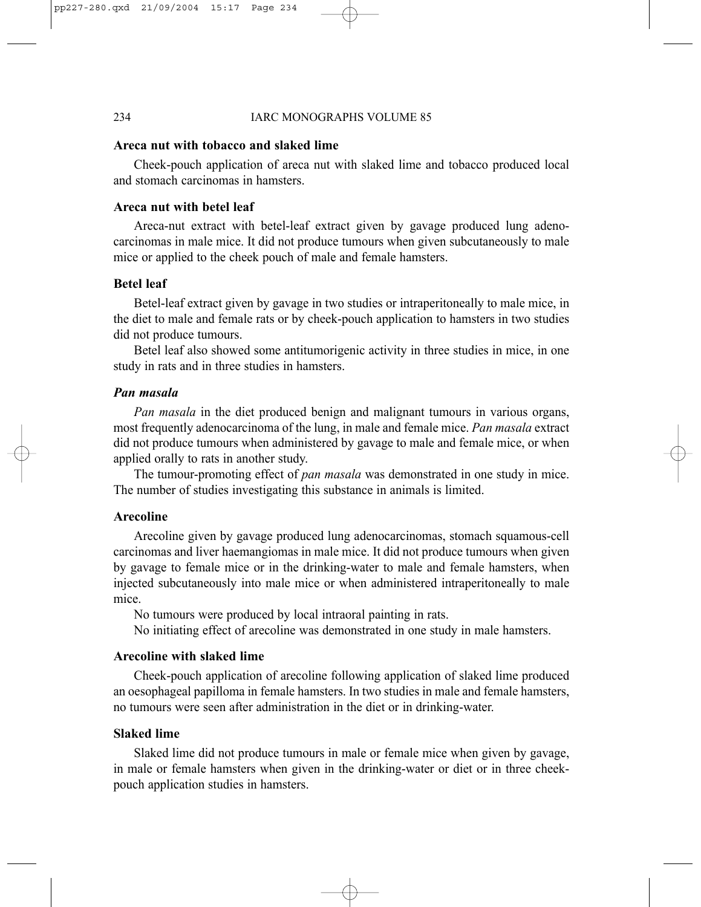#### 234 IARC MONOGRAPHS VOLUME 85

## **Areca nut with tobacco and slaked lime**

Cheek-pouch application of areca nut with slaked lime and tobacco produced local and stomach carcinomas in hamsters.

## **Areca nut with betel leaf**

Areca-nut extract with betel-leaf extract given by gavage produced lung adenocarcinomas in male mice. It did not produce tumours when given subcutaneously to male mice or applied to the cheek pouch of male and female hamsters.

#### **Betel leaf**

Betel-leaf extract given by gavage in two studies or intraperitoneally to male mice, in the diet to male and female rats or by cheek-pouch application to hamsters in two studies did not produce tumours.

Betel leaf also showed some antitumorigenic activity in three studies in mice, in one study in rats and in three studies in hamsters.

### *Pan masala*

*Pan masala* in the diet produced benign and malignant tumours in various organs, most frequently adenocarcinoma of the lung, in male and female mice. *Pan masala* extract did not produce tumours when administered by gavage to male and female mice, or when applied orally to rats in another study.

The tumour-promoting effect of *pan masala* was demonstrated in one study in mice. The number of studies investigating this substance in animals is limited.

## **Arecoline**

Arecoline given by gavage produced lung adenocarcinomas, stomach squamous-cell carcinomas and liver haemangiomas in male mice. It did not produce tumours when given by gavage to female mice or in the drinking-water to male and female hamsters, when injected subcutaneously into male mice or when administered intraperitoneally to male mice.

No tumours were produced by local intraoral painting in rats.

No initiating effect of arecoline was demonstrated in one study in male hamsters.

#### **Arecoline with slaked lime**

Cheek-pouch application of arecoline following application of slaked lime produced an oesophageal papilloma in female hamsters. In two studies in male and female hamsters, no tumours were seen after administration in the diet or in drinking-water.

## **Slaked lime**

Slaked lime did not produce tumours in male or female mice when given by gavage, in male or female hamsters when given in the drinking-water or diet or in three cheekpouch application studies in hamsters.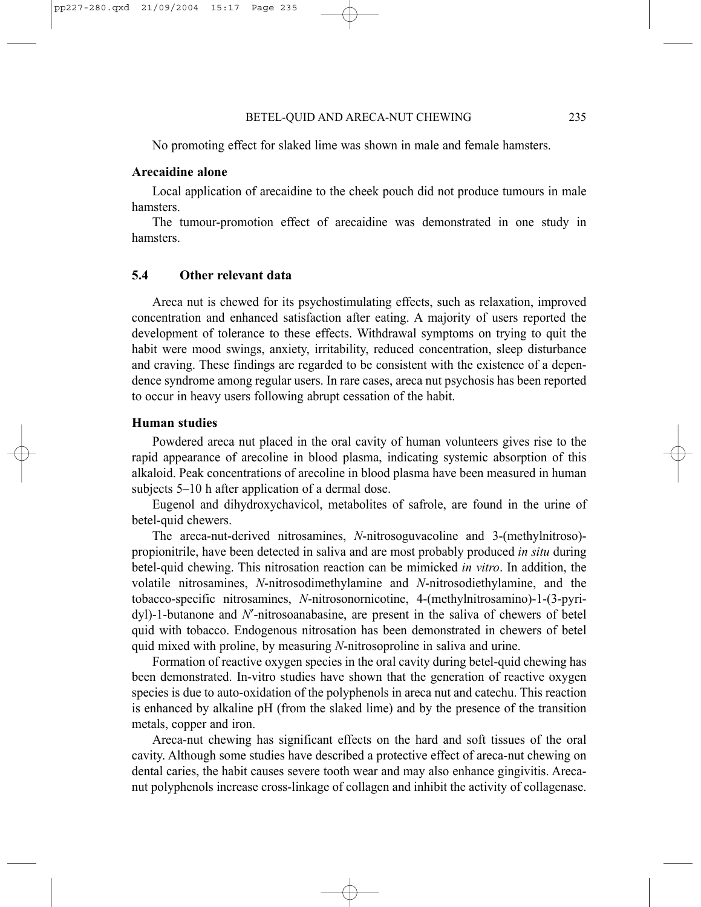No promoting effect for slaked lime was shown in male and female hamsters.

#### **Arecaidine alone**

Local application of arecaidine to the cheek pouch did not produce tumours in male hamsters.

The tumour-promotion effect of arecaidine was demonstrated in one study in hamsters.

## **5.4 Other relevant data**

Areca nut is chewed for its psychostimulating effects, such as relaxation, improved concentration and enhanced satisfaction after eating. A majority of users reported the development of tolerance to these effects. Withdrawal symptoms on trying to quit the habit were mood swings, anxiety, irritability, reduced concentration, sleep disturbance and craving. These findings are regarded to be consistent with the existence of a dependence syndrome among regular users. In rare cases, areca nut psychosis has been reported to occur in heavy users following abrupt cessation of the habit.

## **Human studies**

Powdered areca nut placed in the oral cavity of human volunteers gives rise to the rapid appearance of arecoline in blood plasma, indicating systemic absorption of this alkaloid. Peak concentrations of arecoline in blood plasma have been measured in human subjects 5–10 h after application of a dermal dose.

Eugenol and dihydroxychavicol, metabolites of safrole, are found in the urine of betel-quid chewers.

The areca-nut-derived nitrosamines, *N*-nitrosoguvacoline and 3-(methylnitroso) propionitrile, have been detected in saliva and are most probably produced *in situ* during betel-quid chewing. This nitrosation reaction can be mimicked *in vitro*. In addition, the volatile nitrosamines, *N*-nitrosodimethylamine and *N*-nitrosodiethylamine, and the tobacco-specific nitrosamines, *N*-nitrosonornicotine, 4-(methylnitrosamino)-1-(3-pyridyl)-1-butanone and *N*′-nitrosoanabasine, are present in the saliva of chewers of betel quid with tobacco. Endogenous nitrosation has been demonstrated in chewers of betel quid mixed with proline, by measuring *N*-nitrosoproline in saliva and urine.

Formation of reactive oxygen species in the oral cavity during betel-quid chewing has been demonstrated. In-vitro studies have shown that the generation of reactive oxygen species is due to auto-oxidation of the polyphenols in areca nut and catechu. This reaction is enhanced by alkaline pH (from the slaked lime) and by the presence of the transition metals, copper and iron.

Areca-nut chewing has significant effects on the hard and soft tissues of the oral cavity. Although some studies have described a protective effect of areca-nut chewing on dental caries, the habit causes severe tooth wear and may also enhance gingivitis. Arecanut polyphenols increase cross-linkage of collagen and inhibit the activity of collagenase.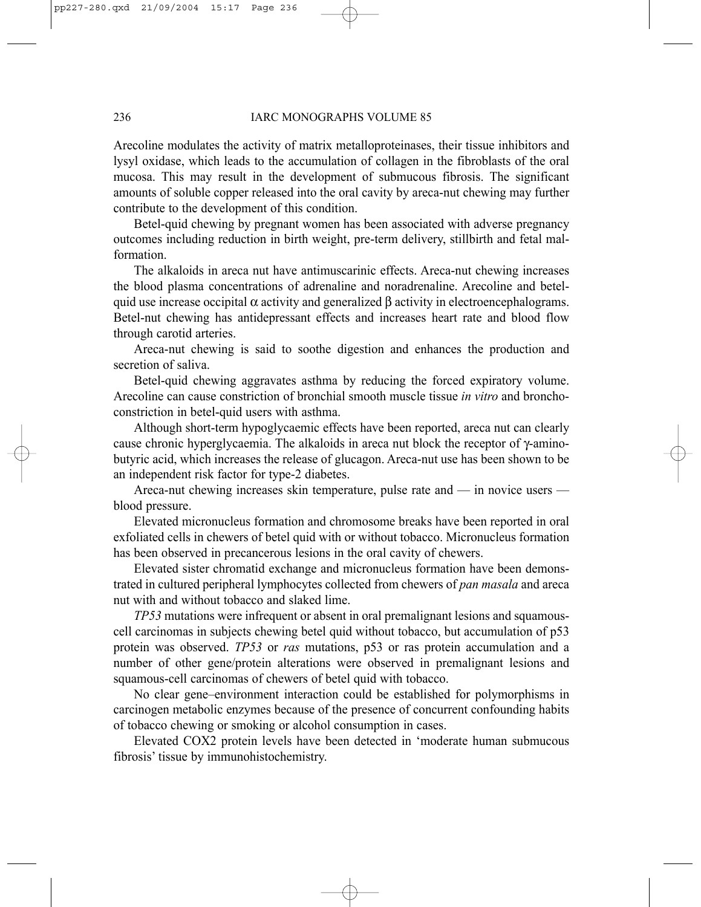#### 236 IARC MONOGRAPHS VOLUME 85

Arecoline modulates the activity of matrix metalloproteinases, their tissue inhibitors and lysyl oxidase, which leads to the accumulation of collagen in the fibroblasts of the oral mucosa. This may result in the development of submucous fibrosis. The significant amounts of soluble copper released into the oral cavity by areca-nut chewing may further contribute to the development of this condition.

Betel-quid chewing by pregnant women has been associated with adverse pregnancy outcomes including reduction in birth weight, pre-term delivery, stillbirth and fetal malformation.

The alkaloids in areca nut have antimuscarinic effects. Areca-nut chewing increases the blood plasma concentrations of adrenaline and noradrenaline. Arecoline and betelquid use increase occipital  $\alpha$  activity and generalized  $\beta$  activity in electroencephalograms. Betel-nut chewing has antidepressant effects and increases heart rate and blood flow through carotid arteries.

Areca-nut chewing is said to soothe digestion and enhances the production and secretion of saliva.

Betel-quid chewing aggravates asthma by reducing the forced expiratory volume. Arecoline can cause constriction of bronchial smooth muscle tissue *in vitro* and bronchoconstriction in betel-quid users with asthma.

Although short-term hypoglycaemic effects have been reported, areca nut can clearly cause chronic hyperglycaemia. The alkaloids in areca nut block the receptor of  $\gamma$ -aminobutyric acid, which increases the release of glucagon. Areca-nut use has been shown to be an independent risk factor for type-2 diabetes.

Areca-nut chewing increases skin temperature, pulse rate and — in novice users blood pressure.

Elevated micronucleus formation and chromosome breaks have been reported in oral exfoliated cells in chewers of betel quid with or without tobacco. Micronucleus formation has been observed in precancerous lesions in the oral cavity of chewers.

Elevated sister chromatid exchange and micronucleus formation have been demonstrated in cultured peripheral lymphocytes collected from chewers of *pan masala* and areca nut with and without tobacco and slaked lime.

*TP53* mutations were infrequent or absent in oral premalignant lesions and squamouscell carcinomas in subjects chewing betel quid without tobacco, but accumulation of p53 protein was observed. *TP53* or *ras* mutations, p53 or ras protein accumulation and a number of other gene/protein alterations were observed in premalignant lesions and squamous-cell carcinomas of chewers of betel quid with tobacco.

No clear gene–environment interaction could be established for polymorphisms in carcinogen metabolic enzymes because of the presence of concurrent confounding habits of tobacco chewing or smoking or alcohol consumption in cases.

Elevated COX2 protein levels have been detected in 'moderate human submucous fibrosis' tissue by immunohistochemistry.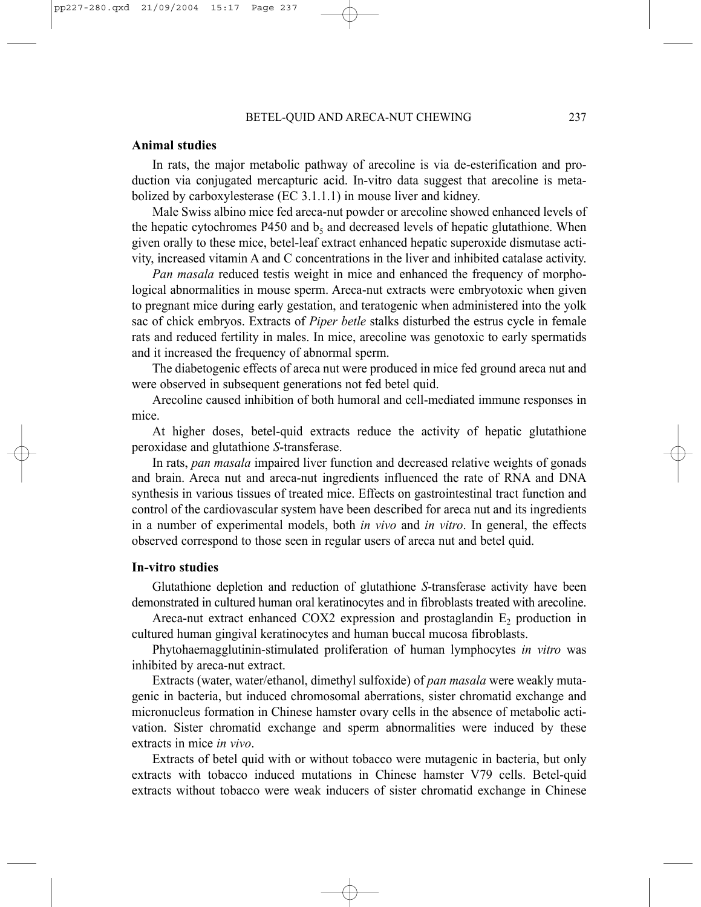#### **Animal studies**

In rats, the major metabolic pathway of arecoline is via de-esterification and production via conjugated mercapturic acid. In-vitro data suggest that arecoline is metabolized by carboxylesterase (EC 3.1.1.1) in mouse liver and kidney.

Male Swiss albino mice fed areca-nut powder or arecoline showed enhanced levels of the hepatic cytochromes P450 and  $b_5$  and decreased levels of hepatic glutathione. When given orally to these mice, betel-leaf extract enhanced hepatic superoxide dismutase activity, increased vitamin A and C concentrations in the liver and inhibited catalase activity.

*Pan masala* reduced testis weight in mice and enhanced the frequency of morphological abnormalities in mouse sperm. Areca-nut extracts were embryotoxic when given to pregnant mice during early gestation, and teratogenic when administered into the yolk sac of chick embryos. Extracts of *Piper betle* stalks disturbed the estrus cycle in female rats and reduced fertility in males. In mice, arecoline was genotoxic to early spermatids and it increased the frequency of abnormal sperm.

The diabetogenic effects of areca nut were produced in mice fed ground areca nut and were observed in subsequent generations not fed betel quid.

Arecoline caused inhibition of both humoral and cell-mediated immune responses in mice.

At higher doses, betel-quid extracts reduce the activity of hepatic glutathione peroxidase and glutathione *S*-transferase.

In rats, *pan masala* impaired liver function and decreased relative weights of gonads and brain. Areca nut and areca-nut ingredients influenced the rate of RNA and DNA synthesis in various tissues of treated mice. Effects on gastrointestinal tract function and control of the cardiovascular system have been described for areca nut and its ingredients in a number of experimental models, both *in vivo* and *in vitro*. In general, the effects observed correspond to those seen in regular users of areca nut and betel quid.

#### **In-vitro studies**

Glutathione depletion and reduction of glutathione *S*-transferase activity have been demonstrated in cultured human oral keratinocytes and in fibroblasts treated with arecoline.

Areca-nut extract enhanced COX2 expression and prostaglandin  $E<sub>2</sub>$  production in cultured human gingival keratinocytes and human buccal mucosa fibroblasts.

Phytohaemagglutinin-stimulated proliferation of human lymphocytes *in vitro* was inhibited by areca-nut extract.

Extracts (water, water/ethanol, dimethyl sulfoxide) of *pan masala* were weakly mutagenic in bacteria, but induced chromosomal aberrations, sister chromatid exchange and micronucleus formation in Chinese hamster ovary cells in the absence of metabolic activation. Sister chromatid exchange and sperm abnormalities were induced by these extracts in mice *in vivo*.

Extracts of betel quid with or without tobacco were mutagenic in bacteria, but only extracts with tobacco induced mutations in Chinese hamster V79 cells. Betel-quid extracts without tobacco were weak inducers of sister chromatid exchange in Chinese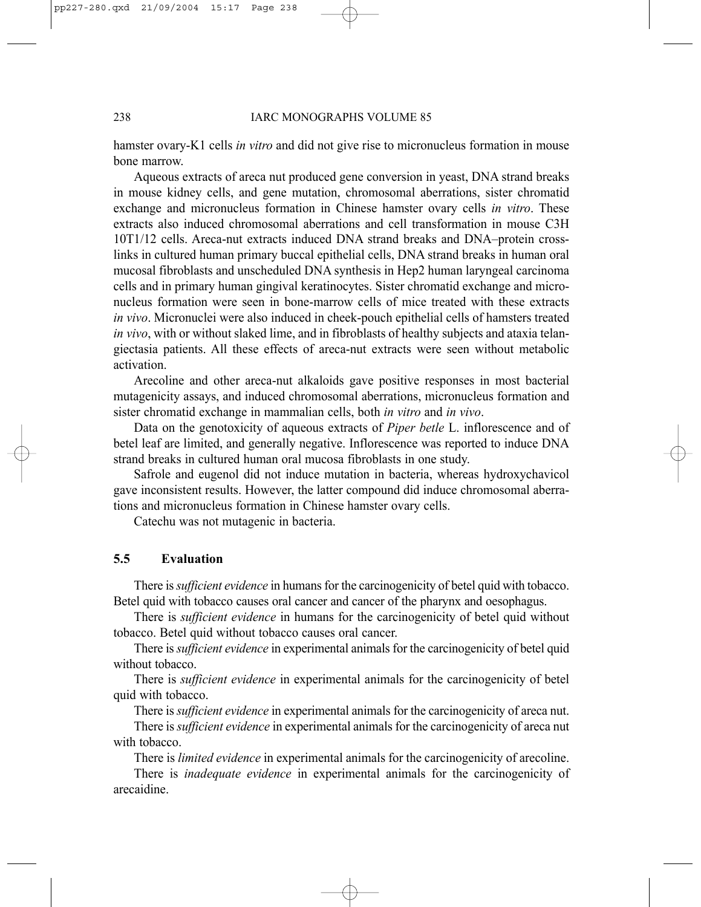hamster ovary-K1 cells *in vitro* and did not give rise to micronucleus formation in mouse bone marrow.

Aqueous extracts of areca nut produced gene conversion in yeast, DNA strand breaks in mouse kidney cells, and gene mutation, chromosomal aberrations, sister chromatid exchange and micronucleus formation in Chinese hamster ovary cells *in vitro*. These extracts also induced chromosomal aberrations and cell transformation in mouse C3H 10T1/12 cells. Areca-nut extracts induced DNA strand breaks and DNA–protein crosslinks in cultured human primary buccal epithelial cells, DNA strand breaks in human oral mucosal fibroblasts and unscheduled DNA synthesis in Hep2 human laryngeal carcinoma cells and in primary human gingival keratinocytes. Sister chromatid exchange and micronucleus formation were seen in bone-marrow cells of mice treated with these extracts *in vivo*. Micronuclei were also induced in cheek-pouch epithelial cells of hamsters treated *in vivo*, with or without slaked lime, and in fibroblasts of healthy subjects and ataxia telangiectasia patients. All these effects of areca-nut extracts were seen without metabolic activation.

Arecoline and other areca-nut alkaloids gave positive responses in most bacterial mutagenicity assays, and induced chromosomal aberrations, micronucleus formation and sister chromatid exchange in mammalian cells, both *in vitro* and *in vivo*.

Data on the genotoxicity of aqueous extracts of *Piper betle* L. inflorescence and of betel leaf are limited, and generally negative. Inflorescence was reported to induce DNA strand breaks in cultured human oral mucosa fibroblasts in one study.

Safrole and eugenol did not induce mutation in bacteria, whereas hydroxychavicol gave inconsistent results. However, the latter compound did induce chromosomal aberrations and micronucleus formation in Chinese hamster ovary cells.

Catechu was not mutagenic in bacteria.

## **5.5 Evaluation**

There is *sufficient evidence* in humans for the carcinogenicity of betel quid with tobacco. Betel quid with tobacco causes oral cancer and cancer of the pharynx and oesophagus.

There is *sufficient evidence* in humans for the carcinogenicity of betel quid without tobacco. Betel quid without tobacco causes oral cancer.

There is *sufficient evidence* in experimental animals for the carcinogenicity of betel quid without tobacco.

There is *sufficient evidence* in experimental animals for the carcinogenicity of betel quid with tobacco.

There is *sufficient evidence* in experimental animals for the carcinogenicity of areca nut.

There is *sufficient evidence* in experimental animals for the carcinogenicity of areca nut with tobacco.

There is *limited evidence* in experimental animals for the carcinogenicity of arecoline.

There is *inadequate evidence* in experimental animals for the carcinogenicity of arecaidine.